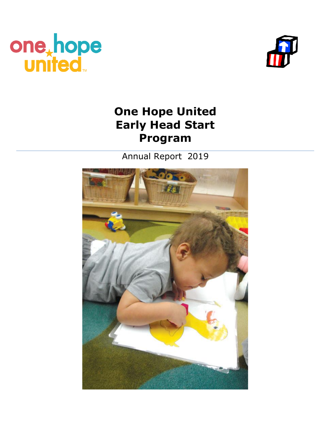



# **One Hope United Early Head Start Program**

Annual Report 2019

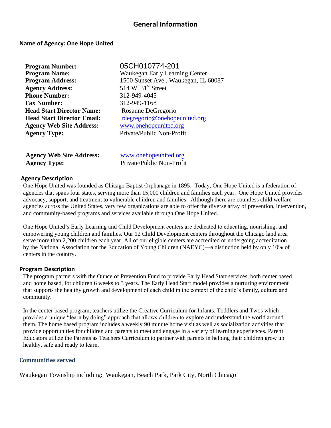### **General Information**

#### **Name of Agency: One Hope United**

| <b>Program Number:</b>            |
|-----------------------------------|
| <b>Program Name:</b>              |
| <b>Program Address:</b>           |
| <b>Agency Address:</b>            |
| <b>Phone Number:</b>              |
| <b>Fax Number:</b>                |
| <b>Head Start Director Name:</b>  |
| <b>Head Start Director Email:</b> |
| <b>Agency Web Site Address:</b>   |
| <b>Agency Type:</b>               |

**Program Number:** 05CH010774-201 **Program Name:** Waukegan Early Learning Center 1500 Sunset Ave., Waukegan, IL 60087 514 W. 31<sup>st</sup> Street **Phone Number:** 312-949-4045 **Fax Number:** 312-949-1168 **Head Start Director Name:** Rosanne DeGregorio [rdegregorio@onehopeunited.org](mailto:rdegregorio@onehopeunited.org) **Agency Web Site Address:** [www.onehopeunited.org](http://www.onehopeunited.org/) **Agency Type:** Private/Public Non-Profit

**Agency Web Site Address:** [www.onehopeunited.org](http://www.onehopeunited.org/) **Agency Type:** Private/Public Non-Profit

#### **Agency Description**

One Hope United was founded as Chicago Baptist Orphanage in 1895. Today, One Hope United is a federation of agencies that spans four states, serving more than 15,000 children and families each year. One Hope United provides advocacy, support, and treatment to vulnerable children and families. Although there are countless child welfare agencies across the United States, very few organizations are able to offer the diverse array of prevention, intervention, and community-based programs and services available through One Hope United.

One Hope United's Early Learning and Child Development centers are dedicated to educating, nourishing, and empowering young children and families. Our 12 Child Development centers throughout the Chicago land area serve more than 2,200 children each year. All of our eligible centers are accredited or undergoing accreditation by the National Association for the Education of Young Children (NAEYC)—a distinction held by only 10% of centers in the country.

#### **Program Description**

The program partners with the Ounce of Prevention Fund to provide Early Head Start services, both center based and home based, for children 6 weeks to 3 years. The Early Head Start model provides a nurturing environment that supports the healthy growth and development of each child in the context of the child's family, culture and community.

In the center based program, teachers utilize the Creative Curriculum for Infants, Toddlers and Twos which provides a unique "learn by doing" approach that allows children to explore and understand the world around them. The home based program includes a weekly 90 minute home visit as well as socialization activities that provide opportunities for children and parents to meet and engage in a variety of learning experiences. Parent Educators utilize the Parents as Teachers Curriculum to partner with parents in helping their children grow up healthy, safe and ready to learn.

#### **Communities served**

Waukegan Township including: Waukegan, Beach Park, Park City, North Chicago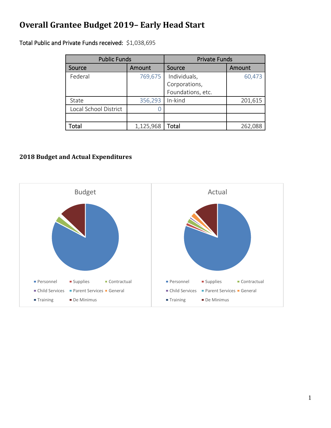## **Overall Grantee Budget 2019– Early Head Start**

Total Public and Private Funds received: \$1,038,695

| <b>Public Funds</b>   |           | <b>Private Funds</b> |         |
|-----------------------|-----------|----------------------|---------|
| Source                | Amount    | Source               | Amount  |
| Federal               | 769,675   | Individuals,         | 60,473  |
|                       |           | Corporations,        |         |
|                       |           | Foundations, etc.    |         |
| State                 | 356,293   | In-kind              | 201,615 |
| Local School District |           |                      |         |
|                       |           |                      |         |
| Total                 | 1,125,968 | Total                | 262,088 |

## **2018 Budget and Actual Expenditures**

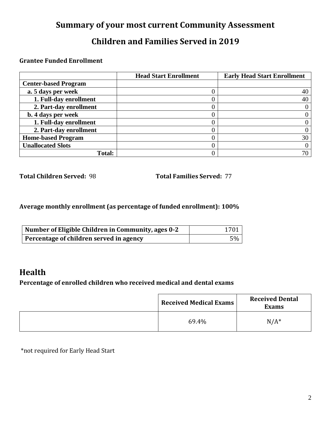## **Summary of your most current Community Assessment**

## **Children and Families Served in 2019**

## **Grantee Funded Enrollment**

|                             | <b>Head Start Enrollment</b> | <b>Early Head Start Enrollment</b> |
|-----------------------------|------------------------------|------------------------------------|
| <b>Center-based Program</b> |                              |                                    |
| a. 5 days per week          |                              | 40                                 |
| 1. Full-day enrollment      |                              | 40                                 |
| 2. Part-day enrollment      |                              |                                    |
| b. 4 days per week          |                              |                                    |
| 1. Full-day enrollment      |                              |                                    |
| 2. Part-day enrollment      |                              |                                    |
| <b>Home-based Program</b>   |                              | 30                                 |
| <b>Unallocated Slots</b>    |                              |                                    |
| <b>Total:</b>               |                              |                                    |

**Total Children Served:** 98 **Total Families Served:** 77

## **Average monthly enrollment (as percentage of funded enrollment): 100%**

| Number of Eligible Children in Community, ages 0-2 | 1701 |
|----------------------------------------------------|------|
| Percentage of children served in agency            | 5%   |

## **Health**

### **Percentage of enrolled children who received medical and dental exams**

| <b>Received Medical Exams</b> | <b>Received Dental</b><br><b>Exams</b> |
|-------------------------------|----------------------------------------|
| 69.4%                         | $N/A^*$                                |

\*not required for Early Head Start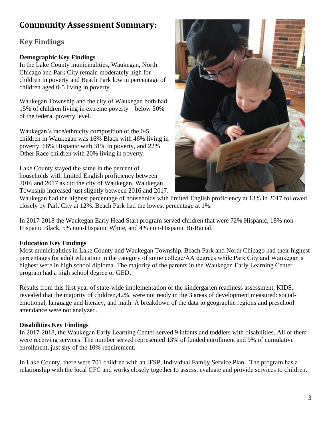## **Community Assessment Summary:**

## **Key Findings**

### **Demographic Key Findings**

In the Lake County municipalities, Waukegan, North Chicago and Park City remain moderately high for children in poverty and Beach Park low in percentage of children aged 0-5 living in poverty.

Waukegan Township and the city of Waukegan both had 15% of children living in extreme poverty – below 50% of the federal poverty level.

Waukegan's race/ethnicity composition of the 0-5 children in Waukegan was 16% Black with 46% living in poverty, 66% Hispanic with 31% in poverty, and 22% Other Race children with 20% living in poverty.

Lake County stayed the same in the percent of households with limited English proficiency between 2016 and 2017 as did the city of Waukegan. Waukegan Township increased just slightly between 2016 and 2017.



Waukegan had the highest percentage of households with limited English proficiency at 13% in 2017 followed closely by Park City at 12%. Beach Park had the lowest percentage at 1%.

In 2017-2018 the Waukegan Early Head Start program served children that were 72% Hispanic, 18% non-Hispanic Black, 5% non-Hispanic White, and 4% non-Hispanic Bi-Racial.

### **Education Key Findings**

Most municipalities in Lake County and Waukegan Township, Beach Park and North Chicago had their highest percentages for adult education in the category of some college/AA degrees while Park City and Waukegan's highest were in high school diploma. The majority of the parents in the Waukegan Early Learning Center program had a high school degree or GED.

Results from this first year of state-wide implementation of the kindergarten readiness assessment, KIDS, revealed that the majority of children,42%, were not ready in the 3 areas of development measured: socialemotional, language and literacy, and math. A breakdown of the data to geographic regions and preschool attendance were not analyzed.

### **Disabilities Key Findings**

In 2017-2018, the Waukegan Early Learning Center served 9 infants and toddlers with disabilities. All of them were receiving services. The number served represented 13% of funded enrollment and 9% of cumulative enrollment, just shy of the 10% requirement.

In Lake County, there were 701 children with an IFSP, Individual Family Service Plan. The program has a relationship with the local CFC and works closely together to assess, evaluate and provide services to children.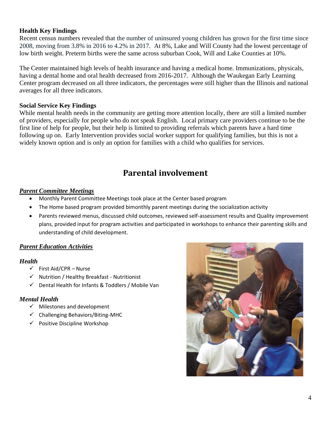#### **Health Key Findings**

Recent census numbers revealed that the number of uninsured young children has grown for the first time since 2008, moving from 3.8% in 2016 to 4.2% in 2017. At 8%, Lake and Will County had the lowest percentage of low birth weight. Preterm births were the same across suburban Cook, Will and Lake Counties at 10%.

The Center maintained high levels of health insurance and having a medical home. Immunizations, physicals, having a dental home and oral health decreased from 2016-2017. Although the Waukegan Early Learning Center program decreased on all three indicators, the percentages were still higher than the Illinois and national averages for all three indicators.

#### **Social Service Key Findings**

While mental health needs in the community are getting more attention locally, there are still a limited number of providers, especially for people who do not speak English. Local primary care providers continue to be the first line of help for people, but their help is limited to providing referrals which parents have a hard time following up on. Early Intervention provides social worker support for qualifying families, but this is not a widely known option and is only an option for families with a child who qualifies for services.

## **Parental involvement**

#### *Parent Committee Meetings*

- Monthly Parent Committee Meetings took place at the Center based program
- The Home based program provided bimonthly parent meetings during the socialization activity
- Parents reviewed menus, discussed child outcomes, reviewed self-assessment results and Quality improvement plans, provided input for program activities and participated in workshops to enhance their parenting skills and understanding of child development.

#### *Parent Education Activities*

#### *Health*

- $\checkmark$  First Aid/CPR Nurse
- ✓ Nutrition / Healthy Breakfast Nutritionist
- ✓ Dental Health for Infants & Toddlers / Mobile Van

#### *Mental Health*

- ✓ Milestones and development
- ✓ Challenging Behaviors/Biting-MHC
- $\checkmark$  Positive Discipline Workshop